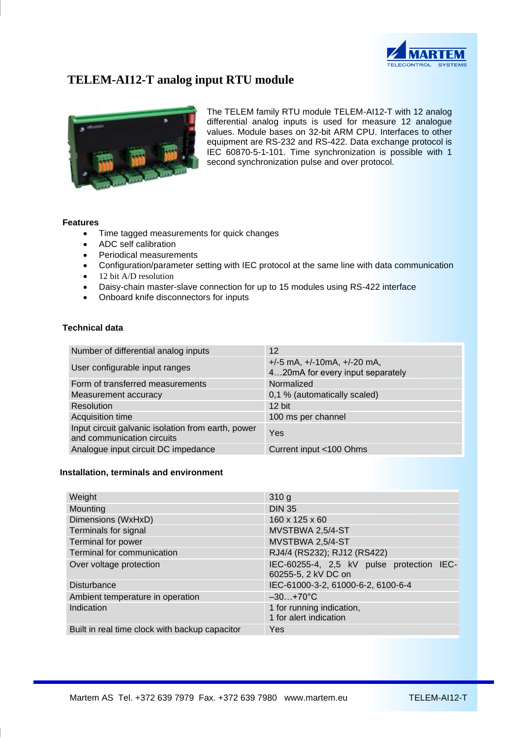

# **TELEM-AI12-T analog input RTU module**



The TELEM family RTU module TELEM-AI12-T with 12 analog differential analog inputs is used for measure 12 analogue values. Module bases on 32-bit ARM CPU. Interfaces to other equipment are RS-232 and RS-422. Data exchange protocol is IEC 60870-5-1-101. Time synchronization is possible with 1 second synchronization pulse and over protocol.

### **Features**

- Time tagged measurements for quick changes
- ADC self calibration
- Periodical measurements
- Configuration/parameter setting with IEC protocol at the same line with data communication
- 12 bit A/D resolution
- Daisy-chain master-slave connection for up to 15 modules using RS-422 interface
- Onboard knife disconnectors for inputs

# **Technical data**

| Number of differential analog inputs                                             | 12                                                                     |  |
|----------------------------------------------------------------------------------|------------------------------------------------------------------------|--|
| User configurable input ranges                                                   | $+/-5$ mA, $+/-10$ mA, $+/-20$ mA,<br>420mA for every input separately |  |
| Form of transferred measurements                                                 | Normalized                                                             |  |
| Measurement accuracy                                                             | 0,1 % (automatically scaled)                                           |  |
| Resolution                                                                       | $12$ bit                                                               |  |
| Acquisition time                                                                 | 100 ms per channel                                                     |  |
| Input circuit galvanic isolation from earth, power<br>and communication circuits | Yes                                                                    |  |
| Analogue input circuit DC impedance                                              | Current input <100 Ohms                                                |  |

#### **Installation, terminals and environment**

| Weight                                         | 310 <sub>g</sub>                                                 |
|------------------------------------------------|------------------------------------------------------------------|
| Mounting                                       | <b>DIN 35</b>                                                    |
| Dimensions (WxHxD)                             | 160 x 125 x 60                                                   |
| Terminals for signal                           | MVSTBWA 2,5/4-ST                                                 |
| Terminal for power                             | MVSTBWA 2,5/4-ST                                                 |
| Terminal for communication                     | RJ4/4 (RS232); RJ12 (RS422)                                      |
| Over voltage protection                        | IEC-60255-4, 2,5 kV pulse protection IEC-<br>60255-5, 2 kV DC on |
| <b>Disturbance</b>                             | IEC-61000-3-2, 61000-6-2, 6100-6-4                               |
| Ambient temperature in operation               | $-30+70^{\circ}C$                                                |
| Indication                                     | 1 for running indication,<br>1 for alert indication              |
| Built in real time clock with backup capacitor | Yes                                                              |